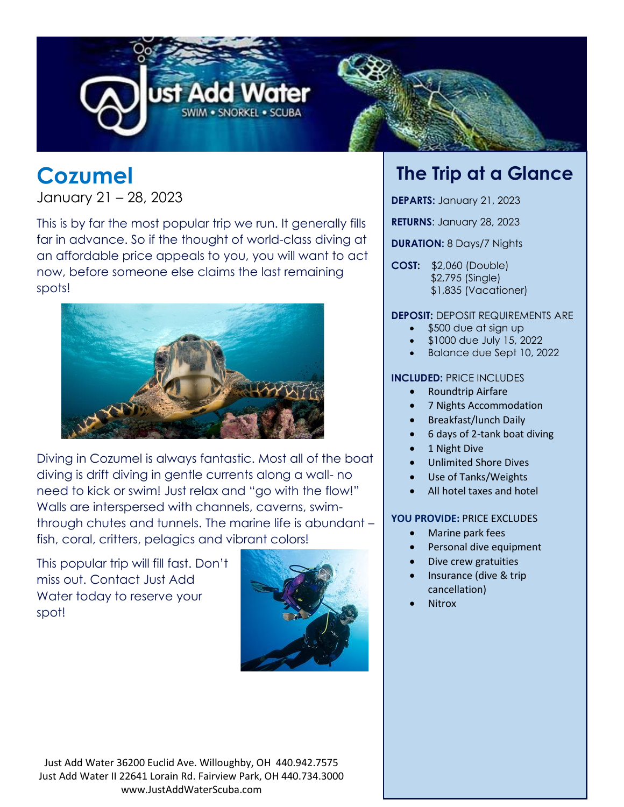

# **Cozumel**

January 21 – 28, 2023

This is by far the most popular trip we run. It generally fills far in advance. So if the thought of world-class diving at an affordable price appeals to you, you will want to act now, before someone else claims the last remaining spots!



Diving in Cozumel is always fantastic. Most all of the boat diving is drift diving in gentle currents along a wall- no need to kick or swim! Just relax and "go with the flow!" Walls are interspersed with channels, caverns, swimthrough chutes and tunnels. The marine life is abundant – fish, coral, critters, pelagics and vibrant colors!

This popular trip will fill fast. Don't miss out. Contact Just Add Water today to reserve your spot!



## **The Trip at a Glance**

**DEPARTS:** January 21, 2023

**RETURNS**: January 28, 2023

**DURATION:** 8 Days/7 Nights

**COST:** \$2,060 (Double) \$2,795 (Single) \$1,835 (Vacationer)

### **DEPOSIT: DEPOSIT REQUIREMENTS ARE**

- \$500 due at sign up
- \$1000 due July 15, 2022
- Balance due Sept 10, 2022

#### **INCLUDED:** PRICE INCLUDES

- Roundtrip Airfare
- 7 Nights Accommodation
- Breakfast/lunch Daily
- 6 days of 2-tank boat diving
- 1 Night Dive
- Unlimited Shore Dives
- Use of Tanks/Weights
- All hotel taxes and hotel

#### **YOU PROVIDE:** PRICE EXCLUDES

- Marine park fees
- Personal dive equipment
- Dive crew gratuities
- Insurance (dive & trip cancellation)
- Nitrox